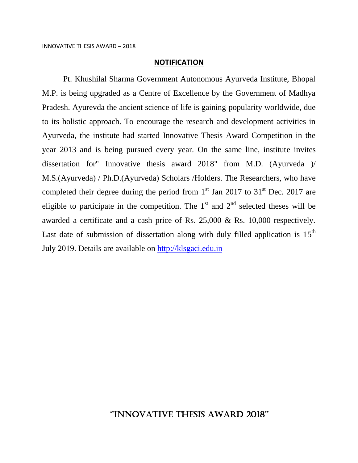#### **NOTIFICATION**

Pt. Khushilal Sharma Government Autonomous Ayurveda Institute, Bhopal M.P. is being upgraded as a Centre of Excellence by the Government of Madhya Pradesh. Ayurevda the ancient science of life is gaining popularity worldwide, due to its holistic approach. To encourage the research and development activities in Ayurveda, the institute had started Innovative Thesis Award Competition in the year 2013 and is being pursued every year. On the same line, institute invites dissertation for" Innovative thesis award 2018" from M.D. (Ayurveda )/ M.S.(Ayurveda) / Ph.D.(Ayurveda) Scholars /Holders. The Researchers, who have completed their degree during the period from  $1<sup>st</sup>$  Jan 2017 to 31<sup>st</sup> Dec. 2017 are eligible to participate in the competition. The  $1<sup>st</sup>$  and  $2<sup>nd</sup>$  selected theses will be awarded a certificate and a cash price of Rs. 25,000 & Rs. 10,000 respectively. Last date of submission of dissertation along with duly filled application is  $15<sup>th</sup>$ July 2019. Details are available on [http://klsgaci.edu.in](http://klsgaci.nic.in/)

#### ''INNOVATIVE THESIS AWARD 2018''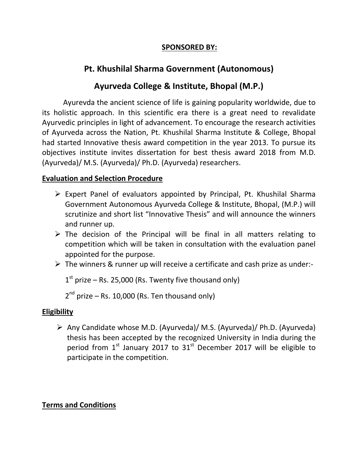### **SPONSORED BY:**

### **Pt. Khushilal Sharma Government (Autonomous)**

### **Ayurveda College & Institute, Bhopal (M.P.)**

Ayurevda the ancient science of life is gaining popularity worldwide, due to its holistic approach. In this scientific era there is a great need to revalidate Ayurvedic principles in light of advancement. To encourage the research activities of Ayurveda across the Nation, Pt. Khushilal Sharma Institute & College, Bhopal had started Innovative thesis award competition in the year 2013. To pursue its objectives institute invites dissertation for best thesis award 2018 from M.D. (Ayurveda)/ M.S. (Ayurveda)/ Ph.D. (Ayurveda) researchers.

#### **Evaluation and Selection Procedure**

- Expert Panel of evaluators appointed by Principal, Pt. Khushilal Sharma Government Autonomous Ayurveda College & Institute, Bhopal, (M.P.) will scrutinize and short list "Innovative Thesis" and will announce the winners and runner up.
- $\triangleright$  The decision of the Principal will be final in all matters relating to competition which will be taken in consultation with the evaluation panel appointed for the purpose.
- $\triangleright$  The winners & runner up will receive a certificate and cash prize as under:-

 $1<sup>st</sup>$  prize – Rs. 25,000 (Rs. Twenty five thousand only)

 $2^{nd}$  prize – Rs. 10,000 (Rs. Ten thousand only)

#### **Eligibility**

 $\triangleright$  Any Candidate whose M.D. (Ayurveda)/ M.S. (Ayurveda)/ Ph.D. (Ayurveda) thesis has been accepted by the recognized University in India during the period from  $1<sup>st</sup>$  January 2017 to  $31<sup>st</sup>$  December 2017 will be eligible to participate in the competition.

#### **Terms and Conditions**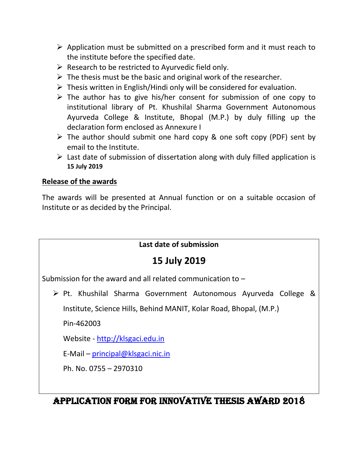- $\triangleright$  Application must be submitted on a prescribed form and it must reach to the institute before the specified date.
- $\triangleright$  Research to be restricted to Ayurvedic field only.
- $\triangleright$  The thesis must be the basic and original work of the researcher.
- $\triangleright$  Thesis written in English/Hindi only will be considered for evaluation.
- $\triangleright$  The author has to give his/her consent for submission of one copy to institutional library of Pt. Khushilal Sharma Government Autonomous Ayurveda College & Institute, Bhopal (M.P.) by duly filling up the declaration form enclosed as Annexure I
- $\triangleright$  The author should submit one hard copy & one soft copy (PDF) sent by email to the Institute.
- $\triangleright$  Last date of submission of dissertation along with duly filled application is **15 July 2019**

#### **Release of the awards**

The awards will be presented at Annual function or on a suitable occasion of Institute or as decided by the Principal.

### **Last date of submission**

## **15 July 2019**

Submission for the award and all related communication to –

 $\triangleright$  Pt. Khushilal Sharma Government Autonomous Ayurveda College &

Institute, Science Hills, Behind MANIT, Kolar Road, Bhopal, (M.P.)

Pin-462003

Website - [http://klsgaci.edu.in](http://klsgaci.nic.in/)

E-Mail – [principal@klsgaci.nic.in](mailto:principal@klsgaci.nic.in)

Ph. No. 0755 – 2970310

## APPLICATION FORM FOR INNOVATIVE THESIS AWARD 2018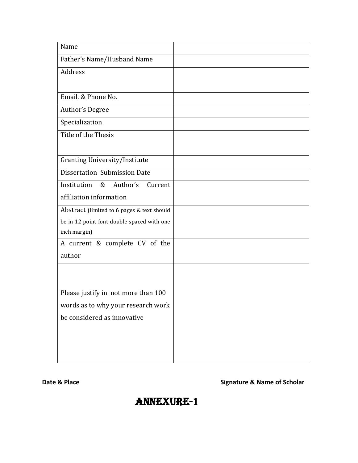| Name                                       |  |
|--------------------------------------------|--|
| Father's Name/Husband Name                 |  |
| Address                                    |  |
|                                            |  |
| Email. & Phone No.                         |  |
| Author's Degree                            |  |
| Specialization                             |  |
| Title of the Thesis                        |  |
|                                            |  |
| <b>Granting University/Institute</b>       |  |
| Dissertation Submission Date               |  |
| Institution<br>&<br>Author's<br>Current    |  |
| affiliation information                    |  |
| Abstract (limited to 6 pages & text should |  |
| be in 12 point font double spaced with one |  |
| inch margin)                               |  |
| A current & complete CV of the             |  |
| author                                     |  |
|                                            |  |
|                                            |  |
| Please justify in not more than 100        |  |
| words as to why your research work         |  |
| be considered as innovative                |  |
|                                            |  |
|                                            |  |
|                                            |  |

#### **Date & Place Signature & Name of Scholar**

# Annexure-1